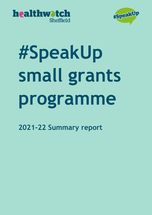



# **#SpeakUp small grants programme**

**2021-22 Summary report**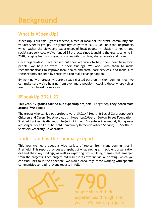# **Background**

### **What is #SpeakUp?**

#SpeakUp is our small grants scheme, aimed at local not-for-profit, community and voluntary sector groups. The grants (typically from £500-£1000) help to fund projects which gather the views and experiences of local people in relation to health and social care services. We've funded 35 projects since launching the grants scheme in 2018, ranging from focus groups, community fun days, shared meals and more.

Once organisations have carried out their activities to help them hear from local people, we help to write up their findings. We work with them to make recommendations to improve local health and social care services, and make sure these reports are seen by those who can make change happen.

By working with groups who are already trusted partners in their communities, we can make sure we're hearing from even more people, including those whose voices aren't often heard by services.

### **#SpeakUp 2021-22**

This year, **12 groups carried out #SpeakUp projects**. Altogether, **they heard from around 790 people**.

The groups who carried out projects were: SACMHA Health & Social Care; Asperger's Children and Carers Together; Autism Hope; Luv2MeetU; Burton Street Foundation; Sheffield Voices; Saalik Youth Project; Pitsmoor Adventure Playground; Burngreave Messenger; South East Sheffield Community Dementia Advice Service; JCI Sheffield; Sheffield Maternity Co-operative.

### **Understanding the summary report**

This year we heard about a wide variety of topics, from many communities in Sheffield. This report provides a snapshot of what each grant recipient organisation did and their key findings, as well as exploring cross-cutting themes that emerged from the projects. Each project did result in its own individual briefing, which you can find links to in the appendix. We would encourage those working with specific communities to read relevant reports in full.

> 2 year's #SpeakUp projects790 people shared their experiences through this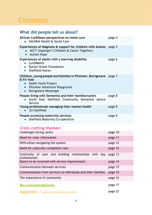# **Contents**

# **What did people tell us about?**

| African Caribbean perspectives on home care<br>SACMHA Health & Social Care                                                                                                             | page 4 |
|----------------------------------------------------------------------------------------------------------------------------------------------------------------------------------------|--------|
| Experiences of diagnosis $\hat{a}$ support for children with Autism page 5<br>ACCT (Asperger's Children & Carers Together)<br><b>Autism Hope</b><br>$\bullet$                          |        |
| Experiences of adults with a learning disability<br>• Luv2MeetU<br>• Burton Street Foundation<br>• Sheffield Voices                                                                    | page 6 |
| Children, young people and families in Pitsmoor, Burngreave<br>& Fir Vale<br>• Saalik Youth Project<br>Pitsmoor Adventure Playground<br>$\bullet$<br>Burngreave Messenger<br>$\bullet$ | page 7 |
| People living with Dementia and their families/carers<br>• South East Sheffield Community Dementia Advice<br>Service                                                                   | page 8 |
| Young professionals managing their mental health<br>• JCI Sheffield                                                                                                                    | page 8 |
| People accessing maternity services<br><b>Sheffield Maternity Co-operative</b>                                                                                                         | page 9 |

### **Cross cutting themes:**

| Challenges facing carers                                                | page 10 |
|-------------------------------------------------------------------------|---------|
| Need for clear information                                              | page 11 |
| Difficulties navigating the system                                      | page 12 |
| Need for culturally competent care                                      | page 12 |
| Continuity of care and building relationships with key<br>professionals | page 13 |
| Desire to be involved with service improvement                          | page 14 |
| Communication between services                                          | page 15 |
| Communication from services to individuals and their families           | page 15 |
| The importance of community                                             | page 16 |
| <b>Recommendations</b>                                                  | page 17 |
| <b>Appendix</b> - links to individual reports                           | page 22 |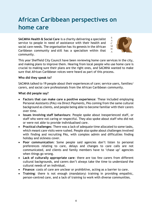# **African Caribbean perspectives on home care**

**SACMHA Health & Social Care** is a charity delivering a specialist service to people in need of assistance with their health and social care needs. The organisation has its genesis in the African Caribbean community and still has a specialism within that community.



This year Sheffield City Council have been reviewing home care services in the city, and making plans to improve them. Hearing from local people who use home care is crucial to making sure their plans are the right ones, and SACMHA wanted to make sure that African Caribbean voices were heard as part of this process.

#### **Who did they speak to?**

SACMHA talked to 19 people about their experiences of care; service users, families/ carers, and social care professionals from the African Caribbean community.

- **Factors that can make care a positive experience**: These included employing Personal Assistants (PAs) via Direct Payments, PAs coming from the same cultural background as clients, and people being able to become familiar with their carers over time.
- **Issues involving staff behaviours**: People spoke about inexperienced staff, or staff who were not caring or respectful. They also spoke about staff who did not or were not able to provide individualised care.
- **Practical challenges**: There was a lack of adequate time allocated to some tasks, which meant care visits were rushed. People also spoke about challenges involved with finding and recruiting PAs, with complex admin and difficulties finding holiday and sickness cover.
- **Poor communication**: Some people said agencies don't listen to personal preferences relating to care, delays and changes to care calls are not communicated, and clients and family members have to 'chase up' agencies when things go wrong.
- **Lack of culturally appropriate care**: there are too few carers from different cultural backgrounds, and carers don't always take the time to understand the cultural needs of an individual.
- **Finance**: costs of care are unclear or prohibitive, acting as a barrier to care.
- **Training**: there is not enough (mandatory) training in providing empathic, person-centred care, and a lack of training to work with diverse communities.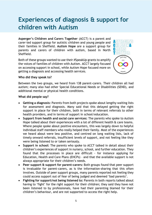# **Experiences of diagnosis & support for children with Autism**

**Asperger's Children and Carers Together** (ACCT) is a parent and carer-led support group for autistic children and young people and their families in Sheffield. **Autism Hope** are a support group for parents and carers of children with autism, based in North Sheffield.

Both of these groups wanted to use their #SpeakUp grants to amplify the voices of families of children with Autism. ACCT largely focused on accessing support in school, while Autism Hope focused more on getting a diagnosis and accessing health services.



#### **Who did they speak to?**

Between the two groups, we heard from 138 parent-carers. Their children all had autism; many also had other Special Educational Needs or Disabilities (SEND), and additional mental or physical health conditions.

- **Getting a diagnosis:** Parents from both projects spoke about lengthy waiting lists for assessment and diagnosis. Many said that this delayed getting the right support in place for their children, both in terms of relevant referrals to other health providers, and in terms of support in school/education.
- **Support from health and social care services:** The parents who spoke to Autism Hope talked about their experiences with a lot of different health & care teams. Where people spoke about positive encounters, this was largely down to helpful individual staff members who really helped their family. Most of the experiences we heard about were less positive, and centred on long waiting lists, lack of timely onward referrals, insufficient levels of support, and not feeling like they were being listened to or taken seriously.
- **Support in school:** The parents who spoke to ACCT talked in detail about their children's experiences of support in nursery, school, and further education. They found that the processes in place are difficult - for instance applying for Education, Health and Care Plans (EHCPs) – and that the available support is not always appropriate for their children's needs.
- **Peer support & support for parent-carers:** Both groups found that peer support is invaluable for parent-carers, as is the information-sharing that this often involves. Outside of peer support groups, many parents reported not feeling they could access support out of fear of being judged and deemed 'bad parents'.
- **Fighting for support/not being listened to:** Parents in both reports talked about having to 'fight' for the right support for their children; they said they have not been listened to by professionals, have had their parenting blamed for their children's behaviour, and are not supported to access the right help.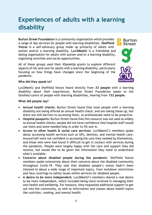# **Experiences of adults with a learning disability**

**Burton Street Foundation** is a community organisation which provides a range of day services for people with learning disabilities. **Sheffield Voices** is a self-advocacy group made up primarily of adults with autism and/or a learning disability. **Luv2MeetU** is a friendship and dating organisation for adults with autism and/or a learning disability, organising activities and social opportunities.

All of these groups used their #SpeakUp grants to explore different aspects of life and care for adults with a learning disability, particularly focusing on how things have changed since the beginning of the pandemic.



**Burton** 

#### **Who did they speak to?**

Luv2MeetU and Sheffield Voices heard directly from **33 people** with a learning disability about their experiences. Burton Street Foundation spoke to the families/carers of people with learning disabilities, hearing from **152 people**.

- **Annual health checks:** Burton Street found that most people with a learning disability are being offered an annual health check, and are taking these up, but there are still barriers to accessing them, so professionals need to be proactive.
- **Hospital passports:** Burton Street found that this resource was not used as widely as annual health checks; people did not have confidence that hospital staff would use them and some needed help in order to fill one in.
- **Access to other health & social care services:** Luv2MeetU's members spoke about accessing health services such as GPs, dentists, and mental health care. Around half were not confident in accessing the care they needed by themselves, and those who were had found it difficult to get in contact with services during the pandemic. People were largely happy with the care and support they did receive, but would like to be given the information they need to understand what's available.
- **Concerns about disabled people during the pandemic:** Sheffield Voices members spoke extensively about their concerns about the disabled community throughout Covid-19. They said that disabled people's voices hadn't been listened to about a wide range of important topics, from lockdown restrictions and face coverings to safety issues within services for disabled people.
- **A desire to be more independent:** Luv2MeetU's members shared a real desire to be more independent, which included being more involved in managing their own health and wellbeing. For instance, they requested additional support to get out into the community, as well as information and classes about health topics like nutrition, cooking, and mental health.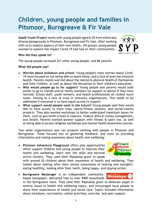# **Children, young people and families in Pitsmoor, Burngreave & Fir Vale**

**Saalik Youth Project** works with young people aged 6-25 from ethnically diverse backgrounds in Pitsmoor, Burngreave and Fir Vale. After working with us to explore aspects of their own health, the group's young people wanted to explore the impact Covid-19 had had on their communities.



#### **Who did they speak to?**

The young people surveyed 221 other young people, and 86 parents.

#### **What did people say?**

- **Worries about lockdown and school:** Young people's main worries about Covid-19 were focused on not being able to leave home, and a lack of exercise/physical health. Parents mostly worried about the mental & physical health of themselves and their children, as well as about the disruption to their children's education.
- **Who would people go to for support?** Young people and parents would both prefer to go to friends and/or family members for support or advice if they were worried. School staff, youth workers, and health professionals all ranked much lower, hinting at a lack of trust in statutory organisations. This needs to be addressed if everyone is to have equal access to support.
- **What support would people want in the future?** Young people said they would like to have access to more trips, sports/fitness sessions, and social/charity projects. They also wanted workshops to better understand important issues for them, such as gun/knife crimes & violence, finance skills & money management, and health. Parents wanted greater support with fitness & sport too, as well as being able to access religious workshops and mental health awareness courses.

Two other organisations also ran projects working with people in Pitsmoor and Burngreave. These focused less on gathering feedback, and more on providing information and raising awareness about health and wellbeing:

 **Pitsmoor Adventure Playground** offers play opportunities which support children and young people to improve their health and wellbeing, learn new life skills and become active citizens. They used their #SpeakUp grant to speak



with around 20 children about their awareness of health and wellbeing. They talked about looking after their senses (awareness of hearing and eyesight), eating healthily, looking after their teeth, being happy, and staying active.

 **Burngreave Messenger** is an independent communitybased newspaper, delivered free to over 9000 households



in the Burngreave ward. They used their #SpeakUp grant to dedicate pages in several issues to health and wellbeing topics, and encouraged local people to share their experiences of health and social care. Topics included information about lockdown, vaccination, online activities, exercise, and peer support.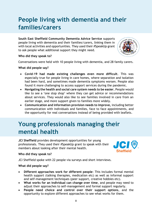# **People living with dementia and their families/carers**

**South East Sheffield Community Dementia Advice Service** supports people living with dementia and their families/carers, linking them in with local activities and opportunities. They used their #SpeakUp grant to ask people what additional support they might need.



#### **Who did they speak to?**

Conversations were held with 10 people living with dementia, and 28 family carers.

**What did people say?**

- **Covid-19 had made existing challenges even more difficult**. This was especially true for people living in care homes, where separation and isolation had been hard, and sometimes made dementia symptoms worsen. People also found it more challenging to access support services during the pandemic.
- **Navigating the health and social care system needs to be easier.** People would like to see a 'one stop shop' where they can get advice or recommendations about services. They would also like to see families involved in care from an earlier stage, and more support given to families more widely.
- **Communication and information provision needs to improve,** including better communication with individuals and families, face to face appointments, and the opportunity for real conversations instead of being provided with leaflets.

# **Young professionals managing their mental health**

**JCI Sheffield** provides development opportunities for young professionals. They used their #SpeakUp grant to speak with their members about looking after their mental health.



#### **Who did they speak to?**

JCI Sheffield spoke with 22 people via surveys and short interviews.

- **Different approaches work for different people**: This includes formal mental health support (talking therapies, medication etc) as well as informal support and self-management techniques (peer support, creative hobbies etc).
- **What works for an individual can change over time**, and people may need to adjust their approaches to self-management and formal support regularly.
- **People need choice and control over their support options**, and the opportunity to explore different approaches to see what works for them.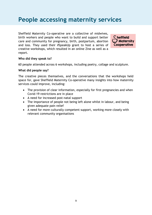# **People accessing maternity services**

Sheffield Maternity Co-operative are a collective of midwives, birth workers and people who want to build and support better care and community for pregnancy, birth, postpartum, abortion and loss. They used their #SpeakUp grant to host a series of creative workshops, which resulted in an online Zine as well as a report.



#### **Who did they speak to?**

60 people attended across 6 workshops, including poetry, collage and sculpture.

#### **What did people say?**

The creative pieces themselves, and the conversations that the workshops held space for, gave Sheffield Maternity Co-operative many insights into how maternity services could improve, including:

- The provision of clear information, especially for first pregnancies and when Covid-19 restrictions are in place
- A need for increased post-natal support
- The importance of people not being left alone whilst in labour, and being given adequate pain relief
- A need for more culturally competent support, working more closely with relevant community organisations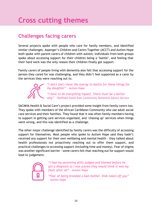# **Cross cutting themes**

# **Challenges facing carers**

Several projects spoke with people who care for family members, and identified similar challenges. Asperger's Children and Carers Together (ACCT) and Autism Hope both spoke with parent-carers of children with autism; individuals from both groups spoke about accessing support for their children being a 'battle', and feeling that their hard work was the only reason their children finally got support.

Family carers of people living with dementia also felt that accessing support for the person they cared for was challenging, and they didn't feel supported as a carer by the services they were reaching out to.



*"I don't feel I have the energy to battle for these things for my daughter" –* Autism Hope

*"I have to do everything myself. There must be a better way"* – Sheffield South East Community Dementia Advice Service

SACMHA Health & Social Care's project provided some insight from family carers too. They spoke with members of the African Caribbean Community who use adult social care services and their families. They found that it was often family members having to support in getting care services organised, and 'chasing up' services when things went wrong, and this was identified as a challenge.

The other major challenge identified by family carers was the difficulty of accessing support for themselves. Most people who spoke to Autism Hope said they hadn't received any support for their own wellbeing and mental health – they talked about health professionals not proactively reaching out to offer them support, and practical challenges to accessing support (including time and money). Fear of stigma was another significant barrier - some carers felt that reaching out for support would lead to judgement.



*"I had my parenting skills judged and blamed before he got a diagnosis so I was scared they would think it was my fault after all"* – Autism Hope

*"Fear of being branded a bad mother. Kids taken off you"*  – Autism Hope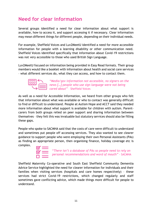# **Need for clear information**

Several groups identified a need for clear information about what support is available, how to access it, and support accessing it if necessary. Clear information may mean different things for different people, depending on their individual needs.

For example, Sheffield Voices and Luv2MeetU identified a need for more accessible information for people with a learning disability or other communication need. Sheffield Voices identified specifically that information about Covid-19 restrictions was not very accessible to those who used British Sign Language.

Luv2MeetU focused on information being provided in Easy Read formats. Their group members would like a booklet with information about health and social care services – what different services do, what they can access, and how to contact them.



*"Media/gov information not accessible, no signers on the news […] people who use sign language were not being cared about"* – Sheffield Voices

As well as a need for Accessible Information, we heard from other groups who felt that information about what was available or who to contact was generally difficult to find or difficult to understand. People at Autism Hope and ACCT said they needed more information about what support is available for children with autism. Parentcarers from both groups relied on peer support and sharing information between themselves – they felt this was invaluable but statutory services should also be filling these gaps.

People who spoke to SACMHA said that the costs of care were difficult to understand and sometimes put people off accessing services. They also wanted to see clearer guidance to support people who were employing their own Personal Assistants (PAs) as finding an appropriate person, then organising finance, holiday coverage etc is complex.



"*There isn't a database of PAs so people need to rely on personal recommendations and word of mouth"* - SACMHA

Sheffield Maternity Co-operative and South East Sheffield Community Dementia Advice Service highlighted the need for clearer information for individuals and their families when visiting services (hospitals and care homes respectively) – these services had strict Covid-19 restrictions, which changed regularly and staff sometimes gave conflicting advice, which made things more difficult for people to understand.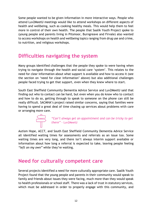Some people wanted to be given information in more interactive ways. People who attend Luv2MeetU meetings would like to attend workshops on different aspects of health and wellbeing, such as cooking healthy meals. This would help them to feel more in control of their own health. The people that Saalik Youth Project spoke to (young people and parents living in Pitsmoor, Burngreave and Firvale) also wanted to access workshops on health and wellbeing topics ranging from drug use and crime, to nutrition, and religious workshops.

# **Difficulties navigating the system**

Many groups identified challenges that the people they spoke to were having when trying to navigate through the health and social care 'system'. This relates to the need for clear information about what support is available and how to access it (see the section on 'need for clear information' above) but also additional challenges people faced trying to get that support, even when they knew where to start.

South East Sheffield Community Dementia Advice Service and Luv2MeetU said that finding out who to contact can be hard, but even when you do know who to contact and how to do so, getting through to speak to someone on the phone can still be really difficult. SACMHA's project raised similar concerns, saying that families were having to spend a great deal of time chasing up services about problems with care or arranging more care.



*"Can't always get an appointment and can be tricky to get there" –* Luv2MeetU

Autism Hope, ACCT, and South East Sheffield Community Dementia Advice Service all identified waiting times for assessments and referrals as an issue too. Some waiting times are very long, and there isn't always interim support available or information about how long a referral is expected to take, leaving people feeling *"left on my own"* while they're waiting.

## **Need for culturally competent care**

Several projects identified a need for more culturally appropriate care. Saalik Youth Project found that the young people and parents in their community would speak to family and friends about issues they were facing, much more than they would speak to health professionals or school staff. There was a lack of trust in statutory services, which must be addressed in order to properly engage with this community, and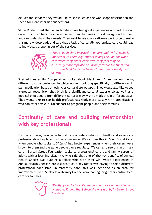deliver the services they would like to see (such as the workshops described in the 'need for clear information' section).

SACMHA identified that when families have had good experiences with Adult Social Care, it is often because a carer comes from the same cultural background as them and can understand their needs. They want to see a more diverse workforce to make this more widespread, and said that a lack of culturally appropriate care could lead to individuals dropping out of the service.



*"Not enough time invested in understanding […] what is important to them e.g. clients saying they do not want care when they experience care they feel may be culturally inappropriate or uncomfortable for them and this could lead to a case being closed unnecessarily"* - **SACMHA** 

Sheffield Maternity Co-operative spoke about black and Asian women having different birth experiences to white women, pointing specifically to differences in pain medication based on ethnic or cultural stereotypes. They would also like to see a greater recognition that birth is a significant cultural experience as well as a medical one; people from different cultures may wish to mark this in different ways. They would like to see health professionals work more closely with organisations who can offer this cultural support to pregnant people and their families.

# **Continuity of care and building relationships with key professionals**

For many groups, being able to build a good relationship with health and social care professionals is key to a positive experience. We can see this in Adult Social Care, when people who spoke to SACMHA had better experiences when their carers were known to them and the same people came regularly. We can also see this in primary care – Burton Street Foundation spoke to professional carers and family carers of adults with a learning disability, who said that one of the key benefits of Annual Health Checks was building a relationship with their GP. Where experiences of Annual Health Checks were less positive, a key factor was having to see a different professional each time. In maternity care, this was identified as an area for improvement, with Sheffield Maternity Co-operative calling for greater continuity of care for families.

*"Really good doctors. Really good practice nurse. Always available. Known [her] since she was a baby*" – Burton Street Foundation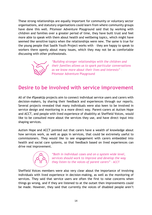These strong relationships are equally important for community or voluntary sector organisations, and statutory organisations could learn from where community groups have done this well. Pitsmoor Adventure Playground said that by working with children and families over a greater period of time, they have built trust and feel more able to speak with them about health and wellbeing topics, which might have seemed like sensitive topics when the relationships were new. The same is true for the young people that Saalik Youth Project works with – they are happy to speak to workers there openly about many issues, which they may not be as comfortable discussing with other professionals.



*"Building stronger relationships with the children and their families allows us to spark particular conversations as we know more about their lives and interests"* – Pitsmoor Adventure Playground

## **Desire to be involved with service improvement**

All of the #SpeakUp projects aim to connect individual service users and carers with decision-makers, by sharing their feedback and experiences through our reports. Several projects revealed that many individuals were also keen to be involved in service design and monitoring in a more direct way. Parent-carers at Autism Hope and ACCT, and people with lived experience of disability at Sheffield Voices, would like to be consulted more about the services they use, and have direct input into shaping services.

Autism Hope and ACCT pointed out that carers have a wealth of knowledge about how services work, as well as gaps in services, that could be extremely useful to commissioners. They would like to see engagement with carers embedded into health and social care systems, so that feedback based on lived experiences can drive real improvement.



*"Both in individual cases and on a system wide level, services should work to improve and develop the way they listen to the voices of parent carers"* - ACCT

Sheffield Voices members were also very clear about the importance of involving individuals with lived experience in decision-making, as well as the monitoring of services. They said that service users are often the first to raise concerns when things go wrong, and if they are listened to at the outset then improvements could be made. However, they said that currently the voices of disabled people aren't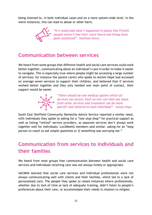being listened to, in both individual cases and on a more system-wide level. In the worst instances, this can lead to abuse or other harm.



*"It's really bad what's happened in places like Firshill, people haven't had their voice heard and things have gone unnoticed"* – Sheffield Voices

### **Communication between services**

We heard from some groups that different health and social care services could work better together, communicating about an individual's care in order to make it easier to navigate. This is especially true where people might be accessing a large number of services; for instance the parent-carers who spoke to Autism Hope had accessed on average seven services to support their children, and believed that if services worked better together and they only needed one main point of contact, their support would be easier.



*"There should be one medical system which all services can access. Each service can then see input from other services and treatment can be more specific and tailored to each individual"* – Autism Hope

South East Sheffield Community Dementia Advice Service reported a similar need, with individuals they spoke to asking for a *"one stop shop"* for practical support as well as listing *"vetted"* service providers, as separate services don't always work together well for individuals. Luv2MeetU members said similar, asking for an *"easy person to reach to ask simple questions or if something was worrying me."*

# **Communication from services to individuals and their families**

We heard from most groups that communication between health and social care services and individuals receiving care was not always timely or appropriate.

SACMHA learned that social care services and individual professionals were not always communicating well with clients and their families, which led to a lack of personalised care. The people they spoke to raised instances where professionals, whether due to lack of time or lack of adequate training, didn't listen to people's preferences about their care, or accommodate their needs in relation to religion.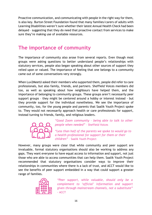Proactive communication, and communicating with people in the right way for them, is also key. Burton Street Foundation found that many families/carers of adults with Learning Disabilities weren't sure whether their latest Annual Health Check had been delayed – suggesting that they do need that proactive contact from services to make sure they're making use of available resources.

# **The importance of community**

The importance of community also arose from several reports. Even though most groups were asking questions to better understand people's relationships with statutory services, people also began speaking about other sources of support they relied upon or valued. The importance of feeling that one belongs to a community came out of some conversations very strongly.

When Luv2MeetU asked their members who supported them, people did refer to care professionals, but also family, friends, and partners. Sheffield Voices members did too, as well as speaking about how neighbours have helped them, and the importance of belonging to community groups. These groups aren't necessarily peer support groups – they might be centered around a hobby or interest instead - but they provide support for the individual nonetheless. We see the importance of community, too, for the young people and parents that Saalik Youth Project spoke to. They would not necessarily approach health or care professionals for support, instead turning to friends, family, and religious leaders.



*"Good Zoom community – being able to talk to other people when needed"* – Sheffield Voices

*"Less than half of the parents we spoke to would go to a health professional for support for them or their children"* – Saalik Youth Project

However, many groups were clear that while community and peer support are invaluable, formal statutory organisations should also be working to address any gaps. They want everyone to have equal access to information and support, not just those who are able to access communities that can help them. Saalik Youth Project recommended that statutory organisations consider ways to improve their relationships in communities where there is a lack of trust, and ACCT would like to see the benefits of peer support embedded in a way that could support a greater range of families.



*"Peer support, while valuable, should only be a complement to 'official' information and support given through mainstream channels, not a substitute"* - ACCT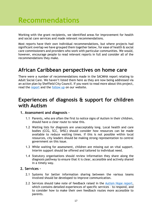# **Recommendations**

Working with the grant recipients, we identified areas for improvement for health and social care services and made relevant recommendations.

Most reports have their own individual recommendations, but where projects had significant overlap we have grouped them together below, for ease of health & social care commissioners and providers who work with particular communities. We would, however, encourage people to read relevant reports in full and consider all of the recommendations they make.

### **African Caribbean perspectives on home care**

There were a number of recommendations made in the SACMHA report relating to Adult Social Care. We haven't listed them here as they are now being addressed via an action plan by Sheffield City Council. If you want to read more about this project, read the [report](https://www.healthwatchsheffield.co.uk/report/2021-08-23/speakup-2021-sacmha-health-social-care) and the [follow up](https://www.healthwatchsheffield.co.uk/news/2022-03-31/what-happened-next-sacmhas-speakup-report-african-caribbean-perspective-home-care) on our website.

### **Experiences of diagnosis & support for children with Autism**

#### **1. Assessment and diagnosis –**

- 1.1 Parents, who are often the first to notice signs of Autism in their children, should have a clear route to raise this.
- 1.2 Waiting lists for diagnosis are unacceptably long. Local health and care bodies (CCG, SCC, SHSC) should consider how resources can be made available to reduce waiting times. If this is not possible within local resources, city leaders should be making strong representation to central government on this issue.
- 1.3 While waiting for assessment, children are missing out on vital support. Interim support should be offered and tailored to individual need.
- 1.4 Statutory organisations should review information they share along the diagnosis pathway to ensure that it is clear, accessible and actively shared in a timely way.

#### **2. Services –**

- 2.1 Systems for better information sharing between the various teams involved should be developed to improve communication.
- 2.2 Services should take note of feedback raised in the [Autism Hope report,](https://www.healthwatchsheffield.co.uk/report/2021-11-03/speakup-2021-autism-hope) which contains detailed experiences of specific services – to respond, and to consider how to make their own feedback routes more accessible to parents.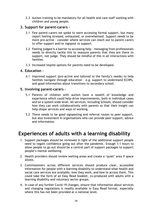2.3 Autism training to be mandatory for all health and care staff working with children and young people.

#### **3. Support for parent-carers –**

- 3.1 Few parent-carers we spoke to were accessing formal support, but many report feeling stressed, exhausted, or overwhelmed. Support needs to be more pro-active – consider where services can reach out to parent-carers to offer support and/or signpost to support.
- 3.2 Feeling judged is a barrier to accessing help messaging from professionals needs to directly tackle this to reassure parents that they are there to support, not judge. They should be mindful of this in all interactions with families.
- 3.3 Increased respite options for parents need to be developed.

#### **4. Education –**

4.1 Improved support (pro-active and tailored to the family's needs) to help families navigate through education – e.g. support to understand ECHPs, and good information about transitions to secondary school.

#### **5. Involving parent-carers –**

- 5.1 Parents of children with autism have a wealth of knowledge and experience which could help drive improvements, both in individual cases and on a system wide level. All services, including Schools, should consider how they can work collaboratively with parents so that their insight can help shape services and ways of working.
- 5.2 There needs to be good signposting and referral routes to peer support, but also investment in organisations who can provide peer support, advice and information.

# **Experiences of adults with a learning disability**

- 1. Support packages should be reviewed in light of the additional support people need to regain confidence going out after the pandemic. Enough 1:1 hours to allow people to go out should be a central part of support packages to support people's mental wellbeing.
- 2. Health providers should review waiting areas and create a 'quiet' area if space allows.
- 3. Commissioners across different services should produce clear, accessible information for people with a learning disability to understand what health and social care services are available, how they work, and how to access them. This could take the form of an Easy Read booklet, co-produced with adults with a learning disability and voluntary sector groups.
- 4. In case of any further Covid-19 changes, ensure that information about services and changing regulations is readily available in Easy Read format, especially where this has not been provided at a national level.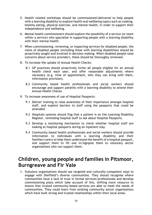- 5. Health related workshops should be commissioned/delivered to help people with a learning disability to explore health and wellbeing topics such as cooking, healthy eating, physical exercise, and mental health, in order to support their independence and wellbeing.
- 6. Mental health commissioners should explore the possibility of a service (or team within a service) who specialise in supporting people with a learning disability with their mental health.
- 7. When commissioning, reviewing, or inspecting services for disabled people, the views of disabled people (including those with learning disabilities) should be proactively sought and involved in decision-making. When disabled people raise concerns about service providers, these should be thoroughly reviewed.
- 8. To increase the uptake of Annual Health Checks:
	- 8.1 GP practices should proactively invite all people eligible for an annual health check each year, and offer reasonable adjustments where necessary (e.g. time of appointment, who they can bring with them, information provision).
	- 8.2 Community based health professionals and social workers should encourage and support patients with a learning disability to attend their Annual Health Checks.
- 9. To increase awareness of use of Hospital Passports:
	- 9.1 Deliver training to raise awareness of their importance amongst hospital staff, and explore barriers to staff using the passports that could be amended.
	- 9.2 Hospitals systems should flag that a patient is on the Learning Disability Register, reminding hospital staff to ask about Hospital Passports.
	- 9.3 Develop a monitoring mechanism to check whether hospital staff are looking at hospital passports during an inpatient stay.
	- 9.4 Community based health professionals and social workers should provide information to individuals with a learning disability and their families/carers to help them understand the benefit of a hospital passport, and support them to fill one in/signpost them to voluntary sector organisations who can support them.

### **Children, young people and families in Pitsmoor, Burngreave and Fir Vale**

1. Statutory organisations should use targeted and culturally-competent ways to engage with Sheffield's diverse communities. They should recognise where communities have a lack of trust in formal services/professionals and develop commissioning plans which take account of this, shifting more resource to ensure that trusted community-based services are able to meet the needs of communities. They could learn from existing community sector organisations which have built strong and trusted relationships within their local areas.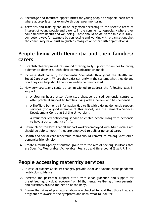- 2. Encourage and facilitate opportunities for young people to support each other where appropriate, for example through peer mentoring.
- 3. Activities and training should be organised according to the specific areas of interest of young people and parents in the community, especially where they could improve health and wellbeing. These should be delivered in a culturallycompetent way, for example by connecting and working with organisations that the community have trust in (such as mosques or other faith organisations).

### **People living with Dementia and their families/ carers**

- 1. Establish clearer procedures around offering early support to families following a dementia diagnosis, with clear communication channels.
- 2. Increase staff capacity for Dementia Specialists throughout the Health and Social Care system. Where they exist currently in the system, what they do and how they can help should be more widely communicated.
- 3. New services/teams could be commissioned to address the following gaps in support:
	- o A clearing house system/one stop shop/centralised dementia centre to offer practical support to families living with a person who has dementia.
	- o A Sheffield Dementia Information Hub to fit with existing dementia support services (for a good example of this model, see the Dementia Services Development Centre at Stirling University).
	- o A volunteer led befriending service to enable people living with dementia to have a better quality of life.
- 4. Ensure clear standards that all support workers employed with Adult Social Care should be able to meet if they are employed to deliver personal care.
- 5. Health and social care leadership teams should commit to making Sheffield a dementia-friendly city.
- 6. Create a multi-agency discussion group with the aim of seeking solutions that are Specific, Measurable, Achievable, Realistic and time-bound (S.M.A.R.T.).

## **People accessing maternity services**

- 1. In case of further Covid-19 changes, provide clear and unambiguous pandemic restriction guidance.
- 2. Increase the postnatal support offer, with clear guidance and support for breastfeeding, physical recovery from birth, mental wellbeing of new parents, and questions around the health of the baby.
- 3. Ensure that signs of premature labour are checked for and that those that are pregnant are aware of the symptoms and know what to look for.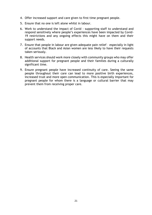- 4. Offer increased support and care given to first time pregnant people.
- 5. Ensure that no one is left alone whilst in labour.
- 6. Work to understand the impact of Covid supporting staff to understand and respond sensitively where people's experiences have been impacted by Covid-19 restrictions and any ongoing effects this might have on them and their support needs.
- 7. Ensure that people in labour are given adequate pain relief especially in light of accounts that Black and Asian women are less likely to have their requests taken seriously.
- 8. Health services should work more closely with community groups who may offer additional support for pregnant people and their families during a culturally significant time.
- 9. Ensure pregnant people have increased continuity of care. Seeing the same people throughout their care can lead to more positive birth experiences, increased trust and more open communication. This is especially important for pregnant people for whom there is a language or cultural barrier that may prevent them from receiving proper care.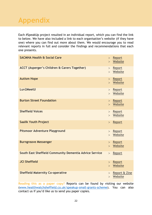# **Appendix**

Each #SpeakUp project resulted in an individual report, which you can find the link to below. We have also included a link to each organisation's website (if they have one) where you can find out more about them. We would encourage you to read relevant reports in full and consider the findings and recommendations that each one presents.

| <b>SACMHA Health &amp; Social Care</b>                  | $\geq$<br>$\geq$ | Report<br>Website            |
|---------------------------------------------------------|------------------|------------------------------|
| <b>ACCT (Asperger's Children &amp; Carers Together)</b> | ><br>$\geq$      | Report<br>Website            |
| <b>Autism Hope</b>                                      | ><br>$\geq$      | Report<br>Website            |
| Luv2MeetU                                               | ><br>$\geq$      | Report<br>Website            |
| <b>Burton Street Foundation</b>                         | ><br>$\geq$      | Report<br>Website            |
| <b>Sheffield Voices</b>                                 | ><br>$\geq$      | Report<br>Website            |
| <b>Saalik Youth Project</b>                             | $\geq$           | Report                       |
| <b>Pitsmoor Adventure Playground</b>                    | ><br>$\geq$      | Report<br>Website            |
| <b>Burngreave Messenger</b>                             | ><br>$\geq$      | Report<br>Website            |
| South East Sheffield Community Dementia Advice Service  | $\geq$           | Report                       |
| <b>JCI Sheffield</b>                                    | $\geq$           | > Report<br>Website          |
| <b>Sheffield Maternity Co-operative</b>                 | $\geq$           | $>$ Report & Zine<br>Website |

**Reading this as a paper copy?** Reports can be found by visiting our website [\(www.healthwatchsheffield.co.uk/speakup-small-grants-scheme\)](http://www.healthwatchsheffield.co.uk/speakup-small-grants-scheme). You can also contact us if you'd like us to send you paper copies.